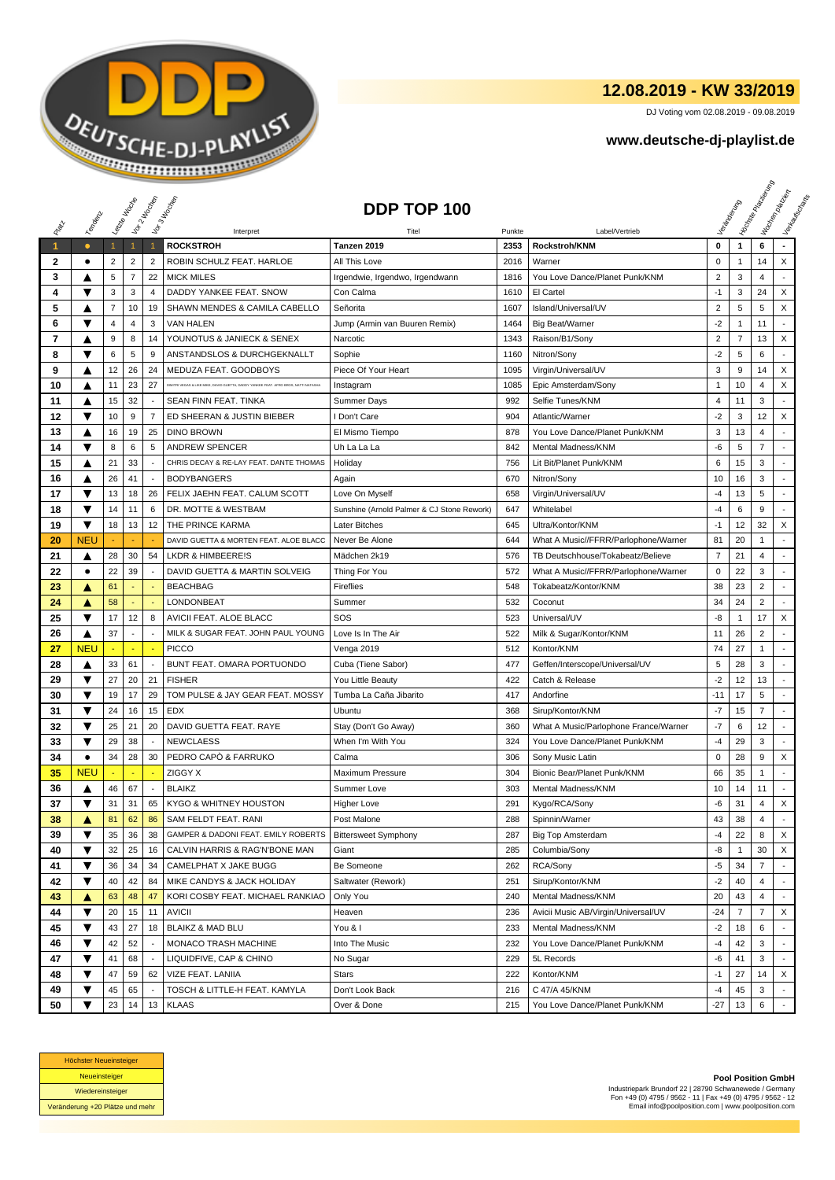

## **12.08.2019 - KW 33/2019**

DJ Voting vom 02.08.2019 - 09.08.2019

## **www.deutsche-dj-playlist.de**

|                      |                         | Leizie III cons |                | Voir 2 Maches            | Vor 3 Indianap                                                                       | DDP TOP 100                                |        |                                       |                        |                | <b>Licitorial Processing Capital</b> | Workenberg<br>Verkouwerd arts |
|----------------------|-------------------------|-----------------|----------------|--------------------------|--------------------------------------------------------------------------------------|--------------------------------------------|--------|---------------------------------------|------------------------|----------------|--------------------------------------|-------------------------------|
| RIVEL                | Templative              |                 |                |                          |                                                                                      |                                            |        |                                       |                        |                |                                      |                               |
|                      |                         |                 |                |                          | Interpret                                                                            | Titel                                      | Punkte | Label/Vertrieb                        |                        |                |                                      |                               |
| $\blacktriangleleft$ | $\bullet$               | $\mathbf{1}$    | $\mathbf{1}$   | $\mathbf{1}$             | <b>ROCKSTROH</b>                                                                     | Tanzen 2019                                | 2353   | <b>Rockstroh/KNM</b>                  | 0                      | $\mathbf{1}$   | 6                                    |                               |
| 2                    | ٠                       | $\overline{2}$  | $\overline{2}$ | $\overline{2}$           | ROBIN SCHULZ FEAT. HARLOE                                                            | All This Love                              | 2016   | Warner                                | 0                      | 1              | 14                                   | X                             |
| 3                    | A                       | 5               | $\overline{7}$ | 22                       | <b>MICK MILES</b>                                                                    | Irgendwie, Irgendwo, Irgendwann            | 1816   | You Love Dance/Planet Punk/KNM        | $\overline{c}$<br>$-1$ | 3              | 4                                    |                               |
| 4                    | ▼                       | 3               | 3              | 4                        | DADDY YANKEE FEAT. SNOW                                                              | Con Calma                                  | 1610   | El Cartel                             |                        | 3              | 24                                   | X                             |
| 5                    | A                       | 7               | 10             | 19                       | SHAWN MENDES & CAMILA CABELLO                                                        | Señorita                                   | 1607   | Island/Universal/UV                   | $\overline{2}$         | 5              | 5                                    | X                             |
| 6                    | ▼                       | 4               | 4              | 3                        | VAN HALEN                                                                            | Jump (Armin van Buuren Remix)              | 1464   | Big Beat/Warner                       | $-2$                   | $\mathbf{1}$   | 11                                   |                               |
| 7                    | ▲                       | 9               | 8              | 14                       | YOUNOTUS & JANIECK & SENEX                                                           | Narcotic                                   | 1343   | Raison/B1/Sony                        | $\overline{2}$         | $\overline{7}$ | 13                                   | X                             |
| 8                    | ▼                       | 6               | 5              | 9                        | ANSTANDSLOS & DURCHGEKNALLT                                                          | Sophie                                     | 1160   | Nitron/Sony                           | $-2$                   | 5              | 6                                    | $\overline{a}$                |
| 9                    | ▲                       | 12              | 26             | 24                       | MEDUZA FEAT. GOODBOYS                                                                | Piece Of Your Heart                        | 1095   | Virgin/Universal/UV                   | 3                      | 9              | 14                                   | X                             |
| 10                   | ▲                       | 11              | 23             | 27                       | DIMITRI VEGAS & LIKE MIKE, DAVID GUETTA, DADDY YANKEE FEAT. AFRO BROS, NATTI NATASHA | Instagram                                  | 1085   | Epic Amsterdam/Sony                   | $\mathbf{1}$           | 10             | 4                                    | X                             |
| 11                   | ▲                       | 15              | 32             | $\overline{\phantom{a}}$ | SEAN FINN FEAT. TINKA                                                                | Summer Days                                | 992    | Selfie Tunes/KNM                      | 4                      | 11             | 3                                    | $\blacksquare$                |
| 12                   | ▼                       | 10              | 9              | 7                        | ED SHEERAN & JUSTIN BIEBER                                                           | I Don't Care                               | 904    | Atlantic/Warner                       | -2                     | 3              | 12                                   | X                             |
| 13                   | ▲                       | 16              | 19             | 25                       | <b>DINO BROWN</b>                                                                    | El Mismo Tiempo                            | 878    | You Love Dance/Planet Punk/KNM        | 3                      | 13             | 4                                    |                               |
| 14                   | $\overline{\mathbf{v}}$ | 8               | 6              | 5                        | <b>ANDREW SPENCER</b>                                                                | Uh La La La                                | 842    | Mental Madness/KNM                    | -6                     | 5              | $\overline{7}$                       | ÷                             |
| 15                   | ▲                       | 21              | 33             | ÷,                       | CHRIS DECAY & RE-LAY FEAT, DANTE THOMAS                                              | Holiday                                    | 756    | Lit Bit/Planet Punk/KNM               | 6                      | 15             | 3                                    | $\overline{a}$                |
| 16                   | ▲                       | 26              | 41             |                          | <b>BODYBANGERS</b>                                                                   | Again                                      | 670    | Nitron/Sony                           | 10                     | 16             | 3                                    |                               |
| 17                   | ▼                       | 13              | 18             | 26                       | FELIX JAEHN FEAT. CALUM SCOTT                                                        | Love On Myself                             | 658    | Virgin/Universal/UV                   | $-4$                   | 13             | 5                                    |                               |
| 18                   | $\overline{\mathbf{v}}$ | 14              | 11             | 6                        | DR. MOTTE & WESTBAM                                                                  | Sunshine (Arnold Palmer & CJ Stone Rework) | 647    | Whitelabel                            | -4                     | 6              | 9                                    |                               |
| 19                   | ▼                       | 18              | 13             | 12                       | THE PRINCE KARMA                                                                     | Later Bitches                              | 645    | Ultra/Kontor/KNM                      | $-1$                   | 12             | 32                                   | X                             |
| 20                   | <b>NEU</b>              |                 |                |                          | DAVID GUETTA & MORTEN FEAT. ALOE BLACC                                               | Never Be Alone                             | 644    | What A Music//FFRR/Parlophone/Warner  | 81                     | 20             | $\mathbf{1}$                         |                               |
| 21                   | ▲                       | 28              | 30             | 54                       | <b>LKDR &amp; HIMBEERE!S</b>                                                         | Mädchen 2k19                               | 576    | TB Deutschhouse/Tokabeatz/Believe     | $\overline{7}$         | 21             | $\overline{4}$                       | $\overline{a}$                |
| 22                   | ٠                       | 22              | 39             |                          | DAVID GUETTA & MARTIN SOLVEIG                                                        | Thing For You                              | 572    | What A Music//FFRR/Parlophone/Warner  | 0                      | 22             | 3                                    | $\overline{\phantom{a}}$      |
| 23                   | Α                       | 61              |                |                          | <b>BEACHBAG</b>                                                                      | Fireflies                                  | 548    | Tokabeatz/Kontor/KNM                  | 38                     | 23             | 2                                    |                               |
| 24                   | ▲                       | 58              | ٠              |                          | LONDONBEAT                                                                           | Summer                                     | 532    | Coconut                               | 34                     | 24             | $\overline{2}$                       |                               |
| 25                   | ▼                       | 17              | 12             | 8                        | AVICII FEAT. ALOE BLACC                                                              | SOS                                        | 523    | Universal/UV                          | -8                     | $\mathbf{1}$   | 17                                   | X                             |
| 26                   | ▲                       | 37              | $\blacksquare$ |                          | MILK & SUGAR FEAT. JOHN PAUL YOUNG                                                   | Love Is In The Air                         | 522    | Milk & Sugar/Kontor/KNM               | 11                     | 26             | $\overline{2}$                       |                               |
| 27                   | <b>NEU</b>              |                 | ÷,             |                          | <b>PICCO</b>                                                                         | Venga 2019                                 | 512    | Kontor/KNM                            | 74                     | 27             | 1                                    | $\blacksquare$                |
| 28                   | ▲                       | 33              | 61             |                          | BUNT FEAT. OMARA PORTUONDO                                                           | Cuba (Tiene Sabor)                         | 477    | Geffen/Interscope/Universal/UV        | 5                      | 28             | 3                                    |                               |
| 29                   | ▼                       | 27              | 20             | 21                       | <b>FISHER</b>                                                                        | You Little Beauty                          | 422    | Catch & Release                       | $-2$                   | 12             | 13                                   |                               |
| 30                   | $\overline{\textbf{v}}$ | 19              | 17             | 29                       | TOM PULSE & JAY GEAR FEAT. MOSSY                                                     | Tumba La Caña Jibarito                     | 417    | Andorfine                             | $-11$                  | 17             | 5                                    |                               |
| 31                   | ▼                       | 24              | 16             | 15                       | EDX                                                                                  | Ubuntu                                     | 368    | Sirup/Kontor/KNM                      | -7                     | 15             | 7                                    |                               |
| 32                   | ▼                       | 25              | 21             | 20                       | DAVID GUETTA FEAT. RAYE                                                              | Stay (Don't Go Away)                       | 360    | What A Music/Parlophone France/Warner | $-7$                   | 6              | 12                                   | $\sim$                        |
| 33                   | ▼                       | 29              | 38             |                          | <b>NEWCLAESS</b>                                                                     | When I'm With You                          | 324    | You Love Dance/Planet Punk/KNM        | $-4$                   | 29             | 3                                    | $\overline{\phantom{a}}$      |
| 34                   | $\bullet$               | 34              | 28             | 30                       | PEDRO CAPÒ & FARRUKO                                                                 | Calma                                      | 306    | Sony Music Latin                      | $\mathsf 0$            | 28             | 9                                    | X                             |
| 35                   | <b>NEU</b>              |                 |                |                          | <b>ZIGGY X</b>                                                                       | Maximum Pressure                           | 304    | Bionic Bear/Planet Punk/KNM           | 66                     | 35             | 1                                    | $\overline{\phantom{a}}$      |
| 36                   | ▲                       | 46              | 67             |                          | <b>BLAIKZ</b>                                                                        | Summer Love                                | 303    | Mental Madness/KNM                    | 10                     | 14             | 11                                   |                               |
| 37                   | ▼                       | 31              | 31             | 65                       | KYGO & WHITNEY HOUSTON                                                               | Higher Love                                | 291    | Kygo/RCA/Sony                         | -6                     | 31             | $\overline{\mathbf{4}}$              | X                             |
| 38                   | ▲                       | 81              | 62             | 86                       | SAM FELDT FEAT. RANI                                                                 | Post Malone                                | 288    | Spinnin/Warner                        | 43                     | 38             | 4                                    | $\overline{\phantom{a}}$      |
| 39                   | ▼                       | 35              | 36             | 38                       | GAMPER & DADONI FEAT. EMILY ROBERTS                                                  | <b>Bittersweet Symphony</b>                | 287    | <b>Big Top Amsterdam</b>              | $-4$                   | 22             | 8                                    | X                             |
| 40                   | $\overline{\textbf{v}}$ | 32              | 25             | 16                       | CALVIN HARRIS & RAG'N'BONE MAN                                                       | Giant                                      | 285    | Columbia/Sony                         | -8                     | 1              | 30                                   | X                             |
| 41                   | ▼                       | 36              | 34             | 34                       | CAMELPHAT X JAKE BUGG                                                                | Be Someone                                 | 262    | RCA/Sony                              | -5                     | 34             | $\overline{7}$                       |                               |
| 42                   | ▼                       | 40              | 42             | 84                       | MIKE CANDYS & JACK HOLIDAY                                                           | Saltwater (Rework)                         | 251    | Sirup/Kontor/KNM                      | $-2$                   | 40             | 4                                    |                               |
| 43                   | ▲                       | 63              | 48             | 47                       | KORI COSBY FEAT. MICHAEL RANKIAO                                                     | Only You                                   | 240    | Mental Madness/KNM                    | 20                     | 43             | 4                                    |                               |
| 44                   | ▼                       | 20              | 15             | 11                       | <b>AVICII</b>                                                                        | Heaven                                     | 236    | Avicii Music AB/Virgin/Universal/UV   | $-24$                  | $\overline{7}$ | 7                                    | X                             |
| 45                   | $\blacktriangledown$    | 43              | 27             | 18                       | <b>BLAIKZ &amp; MAD BLU</b>                                                          | You & I                                    | 233    | Mental Madness/KNM                    | $-2$                   | 18             | 6                                    |                               |
| 46                   | ▼                       | 42              | 52             |                          | MONACO TRASH MACHINE                                                                 | Into The Music                             | 232    | You Love Dance/Planet Punk/KNM        | -4                     | 42             | 3                                    | $\blacksquare$                |
| 47                   | ▼                       | 41              | 68             |                          | LIQUIDFIVE, CAP & CHINO                                                              | No Sugar                                   | 229    | 5L Records                            | -6                     | 41             | 3                                    |                               |
| 48                   | ▼                       | 47              | 59             | 62                       | VIZE FEAT. LANIIA                                                                    | Stars                                      | 222    | Kontor/KNM                            | -1                     | 27             | 14                                   | X                             |
| 49                   | ▼                       | 45              | 65             |                          | TOSCH & LITTLE-H FEAT. KAMYLA                                                        | Don't Look Back                            | 216    | C 47/A 45/KNM                         | -4                     | 45             | 3                                    |                               |
| 50                   | ▼                       | 23              | 14             | 13 <sup>1</sup>          | <b>KLAAS</b>                                                                         | Over & Done                                | 215    | You Love Dance/Planet Punk/KNM        | $-27$                  | 13             | 6                                    |                               |



**Pool Position GmbH** Industriepark Brundorf 22 | 28790 Schwanewede / Germany Fon +49 (0) 4795 / 9562 - 11 | Fax +49 (0) 4795 / 9562 - 12 Email info@poolposition.com | www.poolposition.com